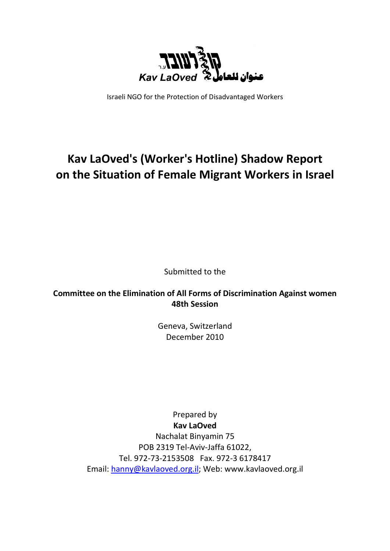

Israeli NGO for the Protection of Disadvantaged Workers

# **Kav LaOved's (Worker's Hotline) Shadow Report on the Situation of Female Migrant Workers in Israel**

Submitted to the

**Committee on the Elimination of All Forms of Discrimination Against women 48th Session** 

> Geneva, Switzerland December 2010

Prepared by **Kav LaOved**  Nachalat Binyamin 75 POB 2319 Tel-Aviv-Jaffa 61022, Tel. 972-73-2153508 Fax. 972-3 6178417 Email: hanny@kavlaoved.org.il; Web: www.kavlaoved.org.il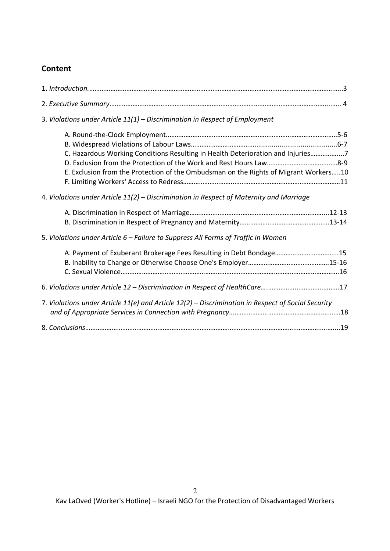# **Content**

| 3. Violations under Article $11(1)$ – Discrimination in Respect of Employment                                                                                           |
|-------------------------------------------------------------------------------------------------------------------------------------------------------------------------|
| C. Hazardous Working Conditions Resulting in Health Deterioration and Injuries7<br>E. Exclusion from the Protection of the Ombudsman on the Rights of Migrant Workers10 |
| 4. Violations under Article 11(2) – Discrimination in Respect of Maternity and Marriage                                                                                 |
| 5. Violations under Article 6 - Failure to Suppress All Forms of Traffic in Women                                                                                       |
| A. Payment of Exuberant Brokerage Fees Resulting in Debt Bondage15                                                                                                      |
|                                                                                                                                                                         |
| 7. Violations under Article 11(e) and Article 12(2) - Discrimination in Respect of Social Security                                                                      |
|                                                                                                                                                                         |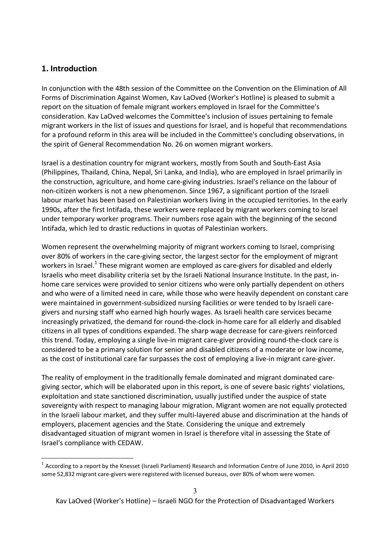### **1. Introduction**

 $\overline{a}$ 

In conjunction with the 48th session of the Committee on the Convention on the Elimination of All Forms of Discrimination Against Women, Kav LaOved (Worker's Hotline) is pleased to submit a report on the situation of female migrant workers employed in Israel for the Committee's consideration. Kav LaOved welcomes the Committee's inclusion of issues pertaining to female migrant workers in the list of issues and questions for Israel, and is hopeful that recommendations for a profound reform in this area will be included in the Committee's concluding observations, in the spirit of General Recommendation No. 26 on women migrant workers.

Israel is a destination country for migrant workers, mostly from South and South-East Asia (Philippines, Thailand, China, Nepal, Sri Lanka, and India), who are employed in Israel primarily in the construction, agriculture, and home care-giving industries. Israel's reliance on the labour of non-citizen workers is not a new phenomenon. Since 1967, a significant portion of the Israeli labour market has been based on Palestinian workers living in the occupied territories. In the early 1990s, after the first Intifada, these workers were replaced by migrant workers coming to Israel under temporary worker programs. Their numbers rose again with the beginning of the second Intifada, which led to drastic reductions in quotas of Palestinian workers.

Women represent the overwhelming majority of migrant workers coming to Israel, comprising over 80% of workers in the care-giving sector, the largest sector for the employment of migrant workers in Israel.<sup>1</sup> These migrant women are employed as care-givers for disabled and elderly Israelis who meet disability criteria set by the Israeli National Insurance Institute. In the past, inhome care services were provided to senior citizens who were only partially dependent on others and who were of a limited need in care, while those who were heavily dependent on constant care were maintained in government-subsidized nursing facilities or were tended to by Israeli caregivers and nursing staff who earned high hourly wages. As Israeli health care services became increasingly privatized, the demand for round-the-clock in-home care for all elderly and disabled citizens in all types of conditions expanded. The sharp wage decrease for care-givers reinforced this trend. Today, employing a single live-in migrant care-giver providing round-the-clock care is considered to be a primary solution for senior and disabled citizens of a moderate or low income, as the cost of institutional care far surpasses the cost of employing a live-in migrant care-giver.

The reality of employment in the traditionally female dominated and migrant dominated caregiving sector, which will be elaborated upon in this report, is one of severe basic rights' violations, exploitation and state sanctioned discrimination, usually justified under the auspice of state sovereignty with respect to managing labour migration. Migrant women are not equally protected in the Israeli labour market, and they suffer multi-layered abuse and discrimination at the hands of employers, placement agencies and the State. Considering the unique and extremely disadvantaged situation of migrant women in Israel is therefore vital in assessing the State of Israel's compliance with CEDAW.

 $^1$  According to a report by the Knesset (Israeli Parliament) Research and Information Centre of June 2010, in April 2010 some 52,832 migrant care-givers were registered with licensed bureaus, over 80% of whom were women.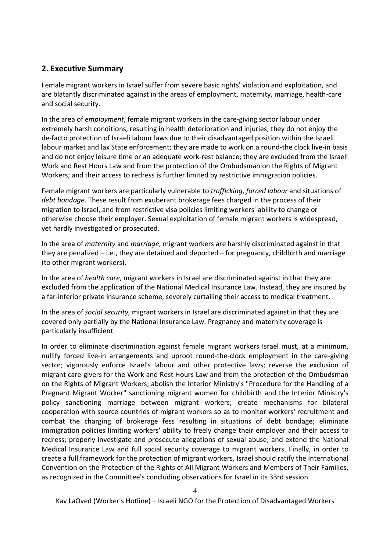# **2. Executive Summary**

Female migrant workers in Israel suffer from severe basic rights' violation and exploitation, and are blatantly discriminated against in the areas of employment, maternity, marriage, health-care and social security.

In the area of *employment*, female migrant workers in the care-giving sector labour under extremely harsh conditions, resulting in health deterioration and injuries; they do not enjoy the de-facto protection of Israeli labour laws due to their disadvantaged position within the Israeli labour market and lax State enforcement; they are made to work on a round-the clock live-in basis and do not enjoy leisure time or an adequate work-rest balance; they are excluded from the Israeli Work and Rest Hours Law and from the protection of the Ombudsman on the Rights of Migrant Workers; and their access to redress is further limited by restrictive immigration policies.

Female migrant workers are particularly vulnerable to *trafficking*, *forced labour* and situations of *debt bondage*. These result from exuberant brokerage fees charged in the process of their migration to Israel, and from restrictive visa policies limiting workers' ability to change or otherwise choose their employer. Sexual exploitation of female migrant workers is widespread, yet hardly investigated or prosecuted.

In the area of *maternity* and *marriage*, migrant workers are harshly discriminated against in that they are penalized – i.e., they are detained and deported – for pregnancy, childbirth and marriage (to other migrant workers).

In the area of *health care*, migrant workers in Israel are discriminated against in that they are excluded from the application of the National Medical Insurance Law. Instead, they are insured by a far-inferior private insurance scheme, severely curtailing their access to medical treatment.

In the area of *social security*, migrant workers in Israel are discriminated against in that they are covered only partially by the National Insurance Law. Pregnancy and maternity coverage is particularly insufficient.

In order to eliminate discrimination against female migrant workers Israel must, at a minimum, nullify forced live-in arrangements and uproot round-the-clock employment in the care-giving sector; vigorously enforce Israel's labour and other protective laws; reverse the exclusion of migrant care-givers for the Work and Rest Hours Law and from the protection of the Ombudsman on the Rights of Migrant Workers; abolish the Interior Ministry's "Procedure for the Handling of a Pregnant Migrant Worker" sanctioning migrant women for childbirth and the Interior Ministry's policy sanctioning marriage between migrant workers; create mechanisms for bilateral cooperation with source countries of migrant workers so as to monitor workers' recruitment and combat the charging of brokerage fess resulting in situations of debt bondage; eliminate immigration policies limiting workers' ability to freely change their employer and their access to redress; properly investigate and prosecute allegations of sexual abuse; and extend the National Medical Insurance Law and full social security coverage to migrant workers. Finally, in order to create a full framework for the protection of migrant workers, Israel should ratify the International Convention on the Protection of the Rights of All Migrant Workers and Members of Their Families, as recognized in the Committee's concluding observations for Israel in its 33rd session.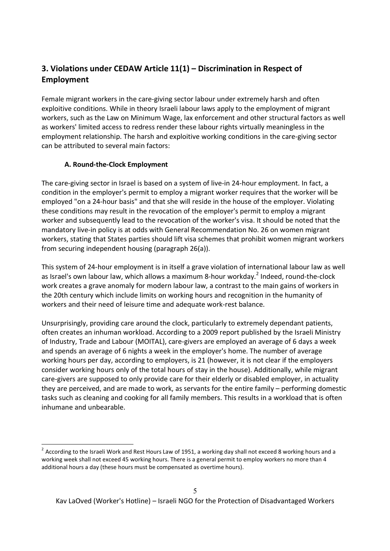# **3. Violations under CEDAW Article 11(1) – Discrimination in Respect of Employment**

Female migrant workers in the care-giving sector labour under extremely harsh and often exploitive conditions. While in theory Israeli labour laws apply to the employment of migrant workers, such as the Law on Minimum Wage, lax enforcement and other structural factors as well as workers' limited access to redress render these labour rights virtually meaningless in the employment relationship. The harsh and exploitive working conditions in the care-giving sector can be attributed to several main factors:

### **A. Round-the-Clock Employment**

 $\overline{a}$ 

The care-giving sector in Israel is based on a system of live-in 24-hour employment. In fact, a condition in the employer's permit to employ a migrant worker requires that the worker will be employed "on a 24-hour basis" and that she will reside in the house of the employer. Violating these conditions may result in the revocation of the employer's permit to employ a migrant worker and subsequently lead to the revocation of the worker's visa. It should be noted that the mandatory live-in policy is at odds with General Recommendation No. 26 on women migrant workers, stating that States parties should lift visa schemes that prohibit women migrant workers from securing independent housing (paragraph 26(a)).

This system of 24-hour employment is in itself a grave violation of international labour law as well as Israel's own labour law, which allows a maximum 8-hour workday.<sup>2</sup> Indeed, round-the-clock work creates a grave anomaly for modern labour law, a contrast to the main gains of workers in the 20th century which include limits on working hours and recognition in the humanity of workers and their need of leisure time and adequate work-rest balance.

Unsurprisingly, providing care around the clock, particularly to extremely dependant patients, often creates an inhuman workload. According to a 2009 report published by the Israeli Ministry of Industry, Trade and Labour (MOITAL), care-givers are employed an average of 6 days a week and spends an average of 6 nights a week in the employer's home. The number of average working hours per day, according to employers, is 21 (however, it is not clear if the employers consider working hours only of the total hours of stay in the house). Additionally, while migrant care-givers are supposed to only provide care for their elderly or disabled employer, in actuality they are perceived, and are made to work, as servants for the entire family – performing domestic tasks such as cleaning and cooking for all family members. This results in a workload that is often inhumane and unbearable.

 $^2$  According to the Israeli Work and Rest Hours Law of 1951, a working day shall not exceed 8 working hours and a working week shall not exceed 45 working hours. There is a general permit to employ workers no more than 4 additional hours a day (these hours must be compensated as overtime hours).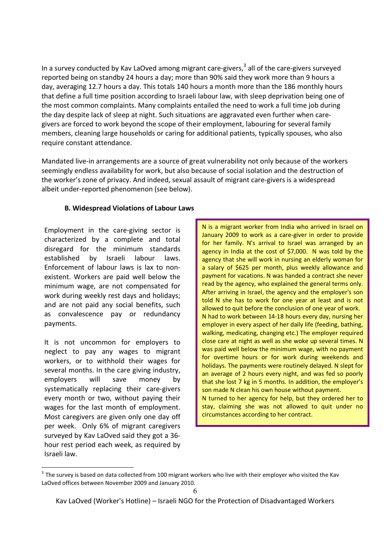In a survey conducted by Kav LaOved among migrant care-givers,<sup>3</sup> all of the care-givers surveyed reported being on standby 24 hours a day; more than 90% said they work more than 9 hours a day, averaging 12.7 hours a day. This totals 140 hours a month more than the 186 monthly hours that define a full time position according to Israeli labour law, with sleep deprivation being one of the most common complaints. Many complaints entailed the need to work a full time job during the day despite lack of sleep at night. Such situations are aggravated even further when caregivers are forced to work beyond the scope of their employment, labouring for several family members, cleaning large households or caring for additional patients, typically spouses, who also require constant attendance.

Mandated live-in arrangements are a source of great vulnerability not only because of the workers seemingly endless availability for work, but also because of social isolation and the destruction of the worker's zone of privacy. And indeed, sexual assault of migrant care-givers is a widespread albeit under-reported phenomenon (see below).

### **B. Widespread Violations of Labour Laws**

Employment in the care-giving sector is characterized by a complete and total disregard for the minimum standards established by Israeli labour laws. Enforcement of labour laws is lax to nonexistent. Workers are paid well below the minimum wage, are not compensated for work during weekly rest days and holidays; and are not paid any social benefits, such as convalescence pay or redundancy payments.

It is not uncommon for employers to neglect to pay any wages to migrant workers, or to withhold their wages for several months. In the care giving industry, employers will save money by systematically replacing their care-givers every month or two, without paying their wages for the last month of employment. Most caregivers are given only one day off per week. Only 6% of migrant caregivers surveyed by Kav LaOved said they got a 36 hour rest period each week, as required by Israeli law.

 $\overline{a}$ 

N is a migrant worker from India who arrived in Israel on January 2009 to work as a care-giver in order to provide for her family. N's arrival to Israel was arranged by an agency in India at the cost of \$7,000. N was told by the agency that she will work in nursing an elderly woman for a salary of \$625 per month, plus weekly allowance and payment for vacations. N was handed a contract she never read by the agency, who explained the general terms only. After arriving in Israel, the agency and the employer's son told N she has to work for one year at least and is not allowed to quit before the conclusion of one year of work. N had to work between 14-18 hours every day, nursing her employer in every aspect of her daily life (feeding, bathing, walking, medicating, changing etc.) The employer required close care at night as well as she woke up several times. N was paid well below the minimum wage, with no payment for overtime hours or for work during weekends and holidays. The payments were routinely delayed. N slept for an average of 2 hours every night, and was fed so poorly that she lost 7 kg in 5 months. In addition, the employer's son made N clean his own house without payment. N turned to her agency for help, but they ordered her to stay, claiming she was not allowed to quit under no circumstances according to her contract.

 $^3$  The survey is based on data collected from 100 migrant workers who live with their employer who visited the Kav LaOved offices between November 2009 and January 2010.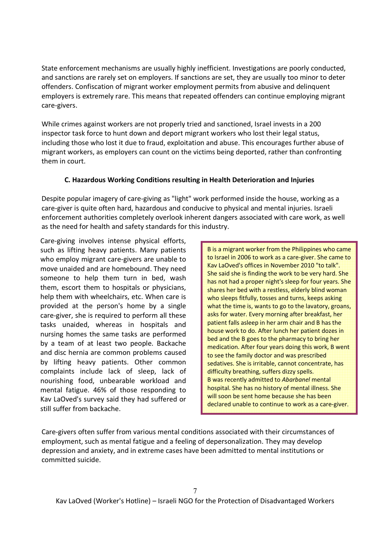State enforcement mechanisms are usually highly inefficient. Investigations are poorly conducted, and sanctions are rarely set on employers. If sanctions are set, they are usually too minor to deter offenders. Confiscation of migrant worker employment permits from abusive and delinquent employers is extremely rare. This means that repeated offenders can continue employing migrant care-givers.

While crimes against workers are not properly tried and sanctioned, Israel invests in a 200 inspector task force to hunt down and deport migrant workers who lost their legal status, including those who lost it due to fraud, exploitation and abuse. This encourages further abuse of migrant workers, as employers can count on the victims being deported, rather than confronting them in court.

### **C. Hazardous Working Conditions resulting in Health Deterioration and Injuries**

Despite popular imagery of care-giving as "light" work performed inside the house, working as a care-giver is quite often hard, hazardous and conducive to physical and mental injuries. Israeli enforcement authorities completely overlook inherent dangers associated with care work, as well as the need for health and safety standards for this industry.

Care-giving involves intense physical efforts, such as lifting heavy patients. Many patients who employ migrant care-givers are unable to move unaided and are homebound. They need someone to help them turn in bed, wash them, escort them to hospitals or physicians, help them with wheelchairs, etc. When care is provided at the person's home by a single care-giver, she is required to perform all these tasks unaided, whereas in hospitals and nursing homes the same tasks are performed by a team of at least two people. Backache and disc hernia are common problems caused by lifting heavy patients. Other common complaints include lack of sleep, lack of nourishing food, unbearable workload and mental fatigue. 46% of those responding to Kav LaOved's survey said they had suffered or still suffer from backache.

B is a migrant worker from the Philippines who came to Israel in 2006 to work as a care-giver. She came to Kav LaOved's offices in November 2010 "to talk". She said she is finding the work to be very hard. She has not had a proper night's sleep for four years. She shares her bed with a restless, elderly blind woman who sleeps fitfully, tosses and turns, keeps asking what the time is, wants to go to the lavatory, groans, asks for water. Every morning after breakfast, her patient falls asleep in her arm chair and B has the house work to do. After lunch her patient dozes in bed and the B goes to the pharmacy to bring her medication. After four years doing this work, B went to see the family doctor and was prescribed sedatives. She is irritable, cannot concentrate, has difficulty breathing, suffers dizzy spells. B was recently admitted to *Abarbanel* mental hospital. She has no history of mental illness. She will soon be sent home because she has been declared unable to continue to work as a care-giver.

Care-givers often suffer from various mental conditions associated with their circumstances of employment, such as mental fatigue and a feeling of depersonalization. They may develop depression and anxiety, and in extreme cases have been admitted to mental institutions or committed suicide.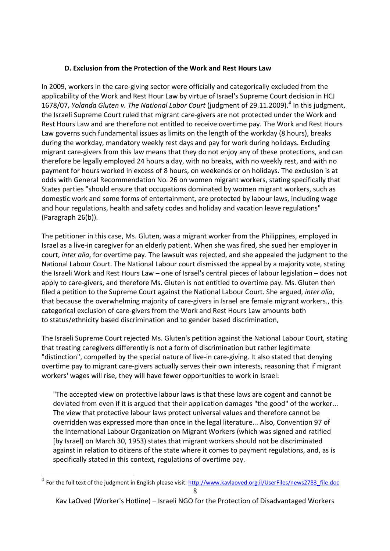### **D. Exclusion from the Protection of the Work and Rest Hours Law**

In 2009, workers in the care-giving sector were officially and categorically excluded from the applicability of the Work and Rest Hour Law by virtue of Israel's Supreme Court decision in HCJ 1678/07, Yolanda Gluten v. The National Labor Court (judgment of 29.11.2009).<sup>4</sup> In this judgment, the Israeli Supreme Court ruled that migrant care-givers are not protected under the Work and Rest Hours Law and are therefore not entitled to receive overtime pay. The Work and Rest Hours Law governs such fundamental issues as limits on the length of the workday (8 hours), breaks during the workday, mandatory weekly rest days and pay for work during holidays. Excluding migrant care-givers from this law means that they do not enjoy any of these protections, and can therefore be legally employed 24 hours a day, with no breaks, with no weekly rest, and with no payment for hours worked in excess of 8 hours, on weekends or on holidays. The exclusion is at odds with General Recommendation No. 26 on women migrant workers, stating specifically that States parties "should ensure that occupations dominated by women migrant workers, such as domestic work and some forms of entertainment, are protected by labour laws, including wage and hour regulations, health and safety codes and holiday and vacation leave regulations" (Paragraph 26(b)).

The petitioner in this case, Ms. Gluten, was a migrant worker from the Philippines, employed in Israel as a live-in caregiver for an elderly patient. When she was fired, she sued her employer in court, *inter alia*, for overtime pay. The lawsuit was rejected, and she appealed the judgment to the National Labour Court. The National Labour court dismissed the appeal by a majority vote, stating the Israeli Work and Rest Hours Law – one of Israel's central pieces of labour legislation – does not apply to care-givers, and therefore Ms. Gluten is not entitled to overtime pay. Ms. Gluten then filed a petition to the Supreme Court against the National Labour Court. She argued, *inter alia*, that because the overwhelming majority of care-givers in Israel are female migrant workers., this categorical exclusion of care-givers from the Work and Rest Hours Law amounts both to status/ethnicity based discrimination and to gender based discrimination,

The Israeli Supreme Court rejected Ms. Gluten's petition against the National Labour Court, stating that treating caregivers differently is not a form of discrimination but rather legitimate "distinction", compelled by the special nature of live-in care-giving. It also stated that denying overtime pay to migrant care-givers actually serves their own interests, reasoning that if migrant workers' wages will rise, they will have fewer opportunities to work in Israel:

"The accepted view on protective labour laws is that these laws are cogent and cannot be deviated from even if it is argued that their application damages "the good" of the worker... The view that protective labour laws protect universal values and therefore cannot be overridden was expressed more than once in the legal literature... Also, Convention 97 of the International Labour Organization on Migrant Workers (which was signed and ratified [by Israel] on March 30, 1953) states that migrant workers should not be discriminated against in relation to citizens of the state where it comes to payment regulations, and, as is specifically stated in this context, regulations of overtime pay.

l

<sup>8</sup> <sup>4</sup> For the full text of the judgment in English please visit: http://www.kavlaoved.org.il/UserFiles/news2783\_file.doc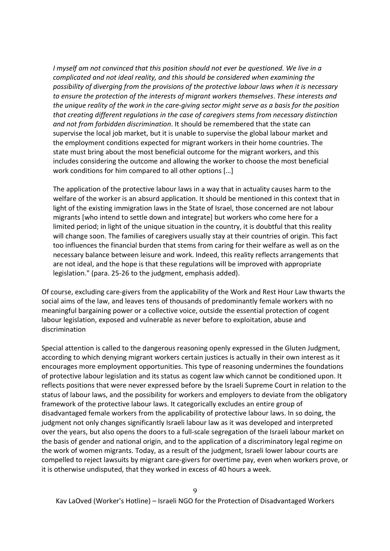*I myself am not convinced that this position should not ever be questioned. We live in a complicated and not ideal reality, and this should be considered when examining the possibility of diverging from the provisions of the protective labour laws when it is necessary to ensure the protection of the interests of migrant workers themselves*. *These interests and the unique reality of the work in the care-giving sector might serve as a basis for the position that creating different regulations in the case of caregivers stems from necessary distinction and not from forbidden discrimination*. It should be remembered that the state can supervise the local job market, but it is unable to supervise the global labour market and the employment conditions expected for migrant workers in their home countries. The state must bring about the most beneficial outcome for the migrant workers, and this includes considering the outcome and allowing the worker to choose the most beneficial work conditions for him compared to all other options […]

The application of the protective labour laws in a way that in actuality causes harm to the welfare of the worker is an absurd application. It should be mentioned in this context that in light of the existing immigration laws in the State of Israel, those concerned are not labour migrants [who intend to settle down and integrate] but workers who come here for a limited period; in light of the unique situation in the country, it is doubtful that this reality will change soon. The families of caregivers usually stay at their countries of origin. This fact too influences the financial burden that stems from caring for their welfare as well as on the necessary balance between leisure and work. Indeed, this reality reflects arrangements that are not ideal, and the hope is that these regulations will be improved with appropriate legislation." (para. 25-26 to the judgment, emphasis added).

Of course, excluding care-givers from the applicability of the Work and Rest Hour Law thwarts the social aims of the law, and leaves tens of thousands of predominantly female workers with no meaningful bargaining power or a collective voice, outside the essential protection of cogent labour legislation, exposed and vulnerable as never before to exploitation, abuse and discrimination

Special attention is called to the dangerous reasoning openly expressed in the Gluten Judgment, according to which denying migrant workers certain justices is actually in their own interest as it encourages more employment opportunities. This type of reasoning undermines the foundations of protective labour legislation and its status as cogent law which cannot be conditioned upon. It reflects positions that were never expressed before by the Israeli Supreme Court in relation to the status of labour laws, and the possibility for workers and employers to deviate from the obligatory framework of the protective labour laws. It categorically excludes an entire group of disadvantaged female workers from the applicability of protective labour laws. In so doing, the judgment not only changes significantly Israeli labour law as it was developed and interpreted over the years, but also opens the doors to a full-scale segregation of the Israeli labour market on the basis of gender and national origin, and to the application of a discriminatory legal regime on the work of women migrants. Today, as a result of the judgment, Israeli lower labour courts are compelled to reject lawsuits by migrant care-givers for overtime pay, even when workers prove, or it is otherwise undisputed, that they worked in excess of 40 hours a week.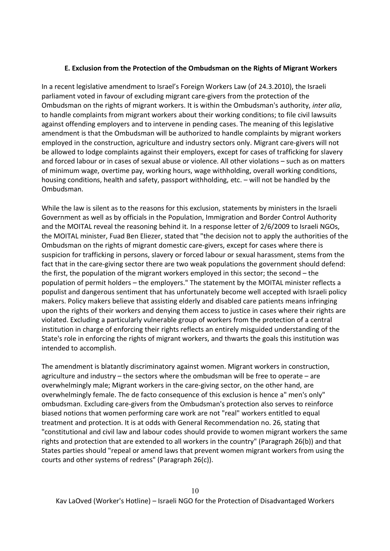#### **E. Exclusion from the Protection of the Ombudsman on the Rights of Migrant Workers**

In a recent legislative amendment to Israel's Foreign Workers Law (of 24.3.2010), the Israeli parliament voted in favour of excluding migrant care-givers from the protection of the Ombudsman on the rights of migrant workers. It is within the Ombudsman's authority, *inter alia*, to handle complaints from migrant workers about their working conditions; to file civil lawsuits against offending employers and to intervene in pending cases. The meaning of this legislative amendment is that the Ombudsman will be authorized to handle complaints by migrant workers employed in the construction, agriculture and industry sectors only. Migrant care-givers will not be allowed to lodge complaints against their employers, except for cases of trafficking for slavery and forced labour or in cases of sexual abuse or violence. All other violations – such as on matters of minimum wage, overtime pay, working hours, wage withholding, overall working conditions, housing conditions, health and safety, passport withholding, etc. – will not be handled by the Ombudsman.

While the law is silent as to the reasons for this exclusion, statements by ministers in the Israeli Government as well as by officials in the Population, Immigration and Border Control Authority and the MOITAL reveal the reasoning behind it. In a response letter of 2/6/2009 to Israeli NGOs, the MOITAL minister, Fuad Ben Eliezer, stated that "the decision not to apply the authorities of the Ombudsman on the rights of migrant domestic care-givers, except for cases where there is suspicion for trafficking in persons, slavery or forced labour or sexual harassment, stems from the fact that in the care-giving sector there are two weak populations the government should defend: the first, the population of the migrant workers employed in this sector; the second – the population of permit holders – the employers." The statement by the MOITAL minister reflects a populist and dangerous sentiment that has unfortunately become well accepted with Israeli policy makers. Policy makers believe that assisting elderly and disabled care patients means infringing upon the rights of their workers and denying them access to justice in cases where their rights are violated. Excluding a particularly vulnerable group of workers from the protection of a central institution in charge of enforcing their rights reflects an entirely misguided understanding of the State's role in enforcing the rights of migrant workers, and thwarts the goals this institution was intended to accomplish.

The amendment is blatantly discriminatory against women. Migrant workers in construction, agriculture and industry – the sectors where the ombudsman will be free to operate – are overwhelmingly male; Migrant workers in the care-giving sector, on the other hand, are overwhelmingly female. The de facto consequence of this exclusion is hence a" men's only" ombudsman. Excluding care-givers from the Ombudsman's protection also serves to reinforce biased notions that women performing care work are not "real" workers entitled to equal treatment and protection. It is at odds with General Recommendation no. 26, stating that "constitutional and civil law and labour codes should provide to women migrant workers the same rights and protection that are extended to all workers in the country" (Paragraph 26(b)) and that States parties should "repeal or amend laws that prevent women migrant workers from using the courts and other systems of redress" (Paragraph 26(c)).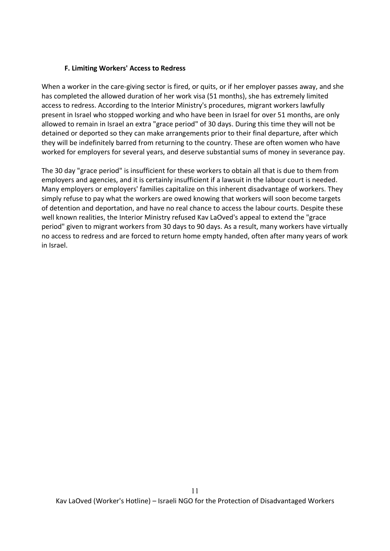#### **F. Limiting Workers' Access to Redress**

When a worker in the care-giving sector is fired, or quits, or if her employer passes away, and she has completed the allowed duration of her work visa (51 months), she has extremely limited access to redress. According to the Interior Ministry's procedures, migrant workers lawfully present in Israel who stopped working and who have been in Israel for over 51 months, are only allowed to remain in Israel an extra "grace period" of 30 days. During this time they will not be detained or deported so they can make arrangements prior to their final departure, after which they will be indefinitely barred from returning to the country. These are often women who have worked for employers for several years, and deserve substantial sums of money in severance pay.

The 30 day "grace period" is insufficient for these workers to obtain all that is due to them from employers and agencies, and it is certainly insufficient if a lawsuit in the labour court is needed. Many employers or employers' families capitalize on this inherent disadvantage of workers. They simply refuse to pay what the workers are owed knowing that workers will soon become targets of detention and deportation, and have no real chance to access the labour courts. Despite these well known realities, the Interior Ministry refused Kav LaOved's appeal to extend the "grace period" given to migrant workers from 30 days to 90 days. As a result, many workers have virtually no access to redress and are forced to return home empty handed, often after many years of work in Israel.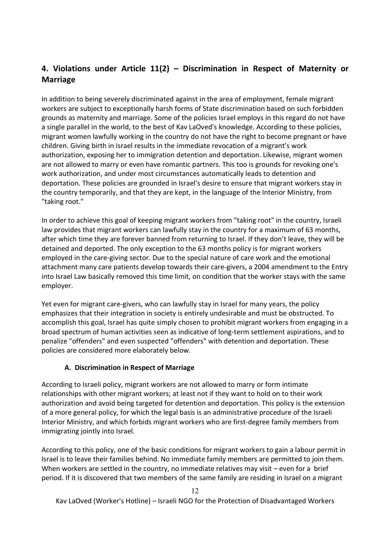# **4. Violations under Article 11(2) – Discrimination in Respect of Maternity or Marriage**

In addition to being severely discriminated against in the area of employment, female migrant workers are subject to exceptionally harsh forms of State discrimination based on such forbidden grounds as maternity and marriage. Some of the policies Israel employs in this regard do not have a single parallel in the world, to the best of Kav LaOved's knowledge. According to these policies, migrant women lawfully working in the country do not have the right to become pregnant or have children. Giving birth in Israel results in the immediate revocation of a migrant's work authorization, exposing her to immigration detention and deportation. Likewise, migrant women are not allowed to marry or even have romantic partners. This too is grounds for revoking one's work authorization, and under most circumstances automatically leads to detention and deportation. These policies are grounded in Israel's desire to ensure that migrant workers stay in the country temporarily, and that they are kept, in the language of the Interior Ministry, from "taking root."

In order to achieve this goal of keeping migrant workers from "taking root" in the country, Israeli law provides that migrant workers can lawfully stay in the country for a maximum of 63 months, after which time they are forever banned from returning to Israel. If they don't leave, they will be detained and deported. The only exception to the 63 months policy is for migrant workers employed in the care-giving sector. Due to the special nature of care work and the emotional attachment many care patients develop towards their care-givers, a 2004 amendment to the Entry into Israel Law basically removed this time limit, on condition that the worker stays with the same employer.

Yet even for migrant care-givers, who can lawfully stay in Israel for many years, the policy emphasizes that their integration in society is entirely undesirable and must be obstructed. To accomplish this goal, Israel has quite simply chosen to prohibit migrant workers from engaging in a broad spectrum of human activities seen as indicative of long-term settlement aspirations, and to penalize "offenders" and even suspected "offenders" with detention and deportation. These policies are considered more elaborately below.

### **A. Discrimination in Respect of Marriage**

According to Israeli policy, migrant workers are not allowed to marry or form intimate relationships with other migrant workers; at least not if they want to hold on to their work authorization and avoid being targeted for detention and deportation. This policy is the extension of a more general policy, for which the legal basis is an administrative procedure of the Israeli Interior Ministry, and which forbids migrant workers who are first-degree family members from immigrating jointly into Israel.

According to this policy, one of the basic conditions for migrant workers to gain a labour permit in Israel is to leave their families behind. No immediate family members are permitted to join them. When workers are settled in the country, no immediate relatives may visit – even for a brief period. If it is discovered that two members of the same family are residing in Israel on a migrant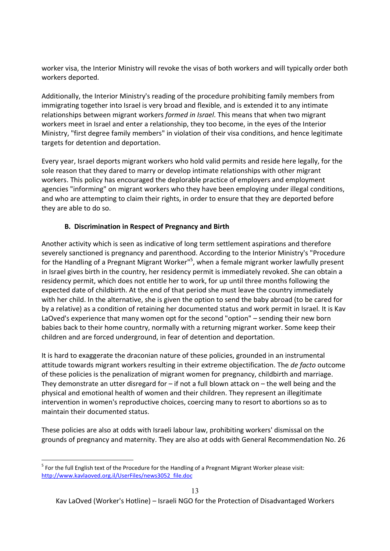worker visa, the Interior Ministry will revoke the visas of both workers and will typically order both workers deported.

Additionally, the Interior Ministry's reading of the procedure prohibiting family members from immigrating together into Israel is very broad and flexible, and is extended it to any intimate relationships between migrant workers *formed in Israel*. This means that when two migrant workers meet in Israel and enter a relationship, they too become, in the eyes of the Interior Ministry, "first degree family members" in violation of their visa conditions, and hence legitimate targets for detention and deportation.

Every year, Israel deports migrant workers who hold valid permits and reside here legally, for the sole reason that they dared to marry or develop intimate relationships with other migrant workers. This policy has encouraged the deplorable practice of employers and employment agencies "informing" on migrant workers who they have been employing under illegal conditions, and who are attempting to claim their rights, in order to ensure that they are deported before they are able to do so.

### **B. Discrimination in Respect of Pregnancy and Birth**

Another activity which is seen as indicative of long term settlement aspirations and therefore severely sanctioned is pregnancy and parenthood. According to the Interior Ministry's "Procedure for the Handling of a Pregnant Migrant Worker"<sup>5</sup>, when a female migrant worker lawfully present in Israel gives birth in the country, her residency permit is immediately revoked. She can obtain a residency permit, which does not entitle her to work, for up until three months following the expected date of childbirth. At the end of that period she must leave the country immediately with her child. In the alternative, she is given the option to send the baby abroad (to be cared for by a relative) as a condition of retaining her documented status and work permit in Israel. It is Kav LaOved's experience that many women opt for the second "option" – sending their new born babies back to their home country, normally with a returning migrant worker. Some keep their children and are forced underground, in fear of detention and deportation.

It is hard to exaggerate the draconian nature of these policies, grounded in an instrumental attitude towards migrant workers resulting in their extreme objectification. The *de facto* outcome of these policies is the penalization of migrant women for pregnancy, childbirth and marriage. They demonstrate an utter disregard for  $-$  if not a full blown attack on  $-$  the well being and the physical and emotional health of women and their children. They represent an illegitimate intervention in women's reproductive choices, coercing many to resort to abortions so as to maintain their documented status.

These policies are also at odds with Israeli labour law, prohibiting workers' dismissal on the grounds of pregnancy and maternity. They are also at odds with General Recommendation No. 26

l

<sup>&</sup>lt;sup>5</sup> For the full English text of the Procedure for the Handling of a Pregnant Migrant Worker please visit: http://www.kavlaoved.org.il/UserFiles/news3052\_file.doc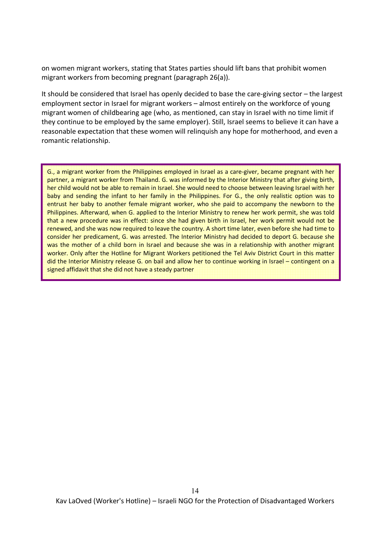on women migrant workers, stating that States parties should lift bans that prohibit women migrant workers from becoming pregnant (paragraph 26(a)).

It should be considered that Israel has openly decided to base the care-giving sector – the largest employment sector in Israel for migrant workers – almost entirely on the workforce of young migrant women of childbearing age (who, as mentioned, can stay in Israel with no time limit if they continue to be employed by the same employer). Still, Israel seems to believe it can have a reasonable expectation that these women will relinquish any hope for motherhood, and even a romantic relationship.

G., a migrant worker from the Philippines employed in Israel as a care-giver, became pregnant with her partner, a migrant worker from Thailand. G. was informed by the Interior Ministry that after giving birth, her child would not be able to remain in Israel. She would need to choose between leaving Israel with her baby and sending the infant to her family in the Philippines. For G., the only realistic option was to entrust her baby to another female migrant worker, who she paid to accompany the newborn to the Philippines. Afterward, when G. applied to the Interior Ministry to renew her work permit, she was told that a new procedure was in effect: since she had given birth in Israel, her work permit would not be renewed, and she was now required to leave the country. A short time later, even before she had time to consider her predicament, G. was arrested. The Interior Ministry had decided to deport G. because she was the mother of a child born in Israel and because she was in a relationship with another migrant worker. Only after the Hotline for Migrant Workers petitioned the Tel Aviv District Court in this matter did the Interior Ministry release G. on bail and allow her to continue working in Israel – contingent on a signed affidavit that she did not have a steady partner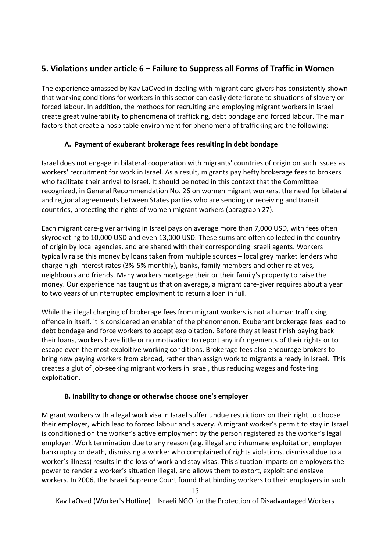# **5. Violations under article 6 – Failure to Suppress all Forms of Traffic in Women**

The experience amassed by Kav LaOved in dealing with migrant care-givers has consistently shown that working conditions for workers in this sector can easily deteriorate to situations of slavery or forced labour. In addition, the methods for recruiting and employing migrant workers in Israel create great vulnerability to phenomena of trafficking, debt bondage and forced labour. The main factors that create a hospitable environment for phenomena of trafficking are the following:

### **A. Payment of exuberant brokerage fees resulting in debt bondage**

Israel does not engage in bilateral cooperation with migrants' countries of origin on such issues as workers' recruitment for work in Israel. As a result, migrants pay hefty brokerage fees to brokers who facilitate their arrival to Israel. It should be noted in this context that the Committee recognized, in General Recommendation No. 26 on women migrant workers, the need for bilateral and regional agreements between States parties who are sending or receiving and transit countries, protecting the rights of women migrant workers (paragraph 27).

Each migrant care-giver arriving in Israel pays on average more than 7,000 USD, with fees often skyrocketing to 10,000 USD and even 13,000 USD. These sums are often collected in the country of origin by local agencies, and are shared with their corresponding Israeli agents. Workers typically raise this money by loans taken from multiple sources – local grey market lenders who charge high interest rates (3%-5% monthly), banks, family members and other relatives, neighbours and friends. Many workers mortgage their or their family's property to raise the money. Our experience has taught us that on average, a migrant care-giver requires about a year to two years of uninterrupted employment to return a loan in full.

While the illegal charging of brokerage fees from migrant workers is not a human trafficking offence in itself, it is considered an enabler of the phenomenon. Exuberant brokerage fees lead to debt bondage and force workers to accept exploitation. Before they at least finish paying back their loans, workers have little or no motivation to report any infringements of their rights or to escape even the most exploitive working conditions. Brokerage fees also encourage brokers to bring new paying workers from abroad, rather than assign work to migrants already in Israel. This creates a glut of job-seeking migrant workers in Israel, thus reducing wages and fostering exploitation.

### **B. Inability to change or otherwise choose one's employer**

Migrant workers with a legal work visa in Israel suffer undue restrictions on their right to choose their employer, which lead to forced labour and slavery. A migrant worker's permit to stay in Israel is conditioned on the worker's active employment by the person registered as the worker's legal employer. Work termination due to any reason (e.g. illegal and inhumane exploitation, employer bankruptcy or death, dismissing a worker who complained of rights violations, dismissal due to a worker's illness) results in the loss of work and stay visas. This situation imparts on employers the power to render a worker's situation illegal, and allows them to extort, exploit and enslave workers. In 2006, the Israeli Supreme Court found that binding workers to their employers in such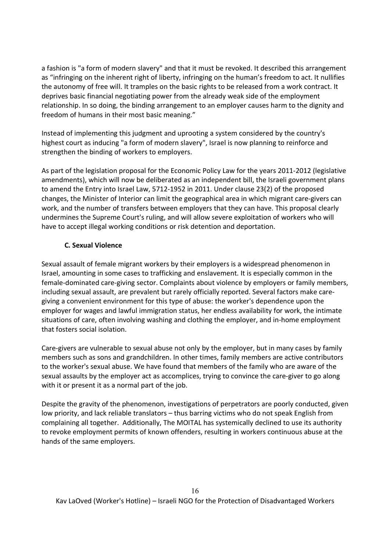a fashion is "a form of modern slavery" and that it must be revoked. It described this arrangement as "infringing on the inherent right of liberty, infringing on the human's freedom to act. It nullifies the autonomy of free will. It tramples on the basic rights to be released from a work contract. It deprives basic financial negotiating power from the already weak side of the employment relationship. In so doing, the binding arrangement to an employer causes harm to the dignity and freedom of humans in their most basic meaning."

Instead of implementing this judgment and uprooting a system considered by the country's highest court as inducing "a form of modern slavery", Israel is now planning to reinforce and strengthen the binding of workers to employers.

As part of the legislation proposal for the Economic Policy Law for the years 2011-2012 (legislative amendments), which will now be deliberated as an independent bill, the Israeli government plans to amend the Entry into Israel Law, 5712-1952 in 2011. Under clause 23(2) of the proposed changes, the Minister of Interior can limit the geographical area in which migrant care-givers can work, and the number of transfers between employers that they can have. This proposal clearly undermines the Supreme Court's ruling, and will allow severe exploitation of workers who will have to accept illegal working conditions or risk detention and deportation.

### **C. Sexual Violence**

Sexual assault of female migrant workers by their employers is a widespread phenomenon in Israel, amounting in some cases to trafficking and enslavement. It is especially common in the female-dominated care-giving sector. Complaints about violence by employers or family members, including sexual assault, are prevalent but rarely officially reported. Several factors make caregiving a convenient environment for this type of abuse: the worker's dependence upon the employer for wages and lawful immigration status, her endless availability for work, the intimate situations of care, often involving washing and clothing the employer, and in-home employment that fosters social isolation.

Care-givers are vulnerable to sexual abuse not only by the employer, but in many cases by family members such as sons and grandchildren. In other times, family members are active contributors to the worker's sexual abuse. We have found that members of the family who are aware of the sexual assaults by the employer act as accomplices, trying to convince the care-giver to go along with it or present it as a normal part of the job.

Despite the gravity of the phenomenon, investigations of perpetrators are poorly conducted, given low priority, and lack reliable translators – thus barring victims who do not speak English from complaining all together. Additionally, The MOITAL has systemically declined to use its authority to revoke employment permits of known offenders, resulting in workers continuous abuse at the hands of the same employers.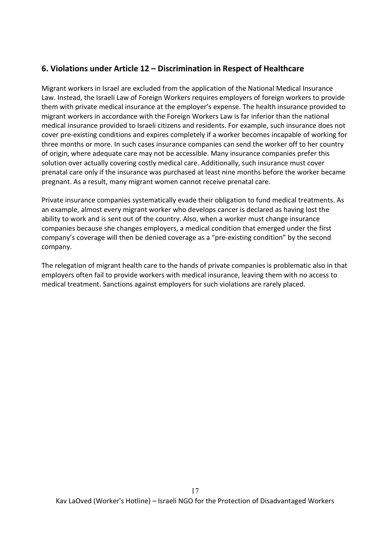# **6. Violations under Article 12 – Discrimination in Respect of Healthcare**

Migrant workers in Israel are excluded from the application of the National Medical Insurance Law. Instead, the Israeli Law of Foreign Workers requires employers of foreign workers to provide them with private medical insurance at the employer's expense. The health insurance provided to migrant workers in accordance with the Foreign Workers Law is far inferior than the national medical insurance provided to Israeli citizens and residents. For example, such insurance does not cover pre-existing conditions and expires completely if a worker becomes incapable of working for three months or more. In such cases insurance companies can send the worker off to her country of origin, where adequate care may not be accessible. Many insurance companies prefer this solution over actually covering costly medical care. Additionally, such insurance must cover prenatal care only if the insurance was purchased at least nine months before the worker became pregnant. As a result, many migrant women cannot receive prenatal care.

Private insurance companies systematically evade their obligation to fund medical treatments. As an example, almost every migrant worker who develops cancer is declared as having lost the ability to work and is sent out of the country. Also, when a worker must change insurance companies because she changes employers, a medical condition that emerged under the first company's coverage will then be denied coverage as a "pre-existing condition" by the second company.

The relegation of migrant health care to the hands of private companies is problematic also in that employers often fail to provide workers with medical insurance, leaving them with no access to medical treatment. Sanctions against employers for such violations are rarely placed.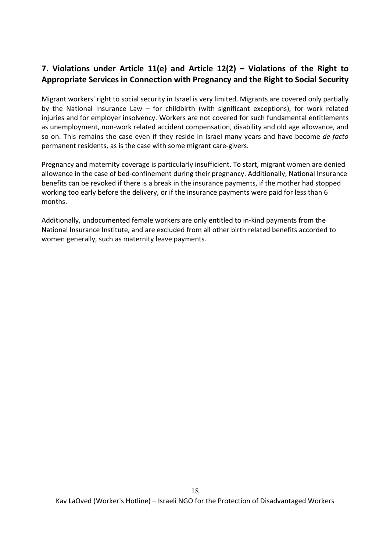# **7. Violations under Article 11(e) and Article 12(2) – Violations of the Right to Appropriate Services in Connection with Pregnancy and the Right to Social Security**

Migrant workers' right to social security in Israel is very limited. Migrants are covered only partially by the National Insurance Law – for childbirth (with significant exceptions), for work related injuries and for employer insolvency. Workers are not covered for such fundamental entitlements as unemployment, non-work related accident compensation, disability and old age allowance, and so on. This remains the case even if they reside in Israel many years and have become *de-facto* permanent residents, as is the case with some migrant care-givers.

Pregnancy and maternity coverage is particularly insufficient. To start, migrant women are denied allowance in the case of bed-confinement during their pregnancy. Additionally, National Insurance benefits can be revoked if there is a break in the insurance payments, if the mother had stopped working too early before the delivery, or if the insurance payments were paid for less than 6 months.

Additionally, undocumented female workers are only entitled to in-kind payments from the National Insurance Institute, and are excluded from all other birth related benefits accorded to women generally, such as maternity leave payments.